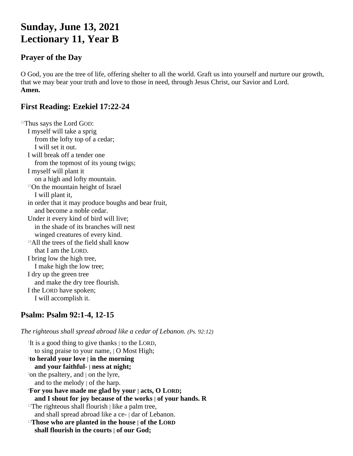# **Sunday, June 13, 2021 Lectionary 11, Year B**

### **Prayer of the Day**

O God, you are the tree of life, offering shelter to all the world. Graft us into yourself and nurture our growth, that we may bear your truth and love to those in need, through Jesus Christ, our Savior and Lord. **Amen.**

#### **First Reading: Ezekiel 17:22-24**

<sup>22</sup>Thus says the Lord GOD: I myself will take a sprig from the lofty top of a cedar; I will set it out. I will break off a tender one from the topmost of its young twigs; I myself will plant it on a high and lofty mountain. <sup>23</sup>On the mountain height of Israel I will plant it, in order that it may produce boughs and bear fruit, and become a noble cedar. Under it every kind of bird will live; in the shade of its branches will nest winged creatures of every kind. <sup>24</sup>All the trees of the field shall know that I am the LORD. I bring low the high tree, I make high the low tree; I dry up the green tree and make the dry tree flourish. I the LORD have spoken; I will accomplish it.

# **Psalm: Psalm 92:1-4, 12-15**

*The righteous shall spread abroad like a cedar of Lebanon. (Ps. 92:12)*

1 It is a good thing to give thanks | to the LORD, to sing praise to your name, | O Most High; 2 **to herald your love | in the morning and your faithful- | ness at night;** <sup>3</sup>on the psaltery, and  $\vert$  on the lyre, and to the melody | of the harp. <sup>4</sup>**For you have made me glad by your | acts, O LORD; and I shout for joy because of the works | of your hands. R**  $12$ The righteous shall flourish | like a palm tree, and shall spread abroad like a ce- | dar of Lebanon. <sup>13</sup>**Those who are planted in the house | of the LORD shall flourish in the courts | of our God;**